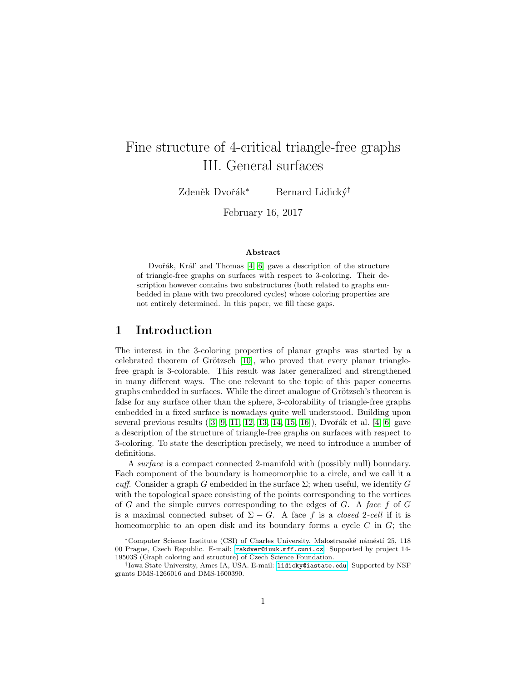# Fine structure of 4-critical triangle-free graphs III. General surfaces

Zdeněk Dvořák<sup>∗</sup> Bernard Lidický<sup>†</sup>

February 16, 2017

#### Abstract

Dvořák, Král' and Thomas  $[4, 6]$  $[4, 6]$  gave a description of the structure of triangle-free graphs on surfaces with respect to 3-coloring. Their description however contains two substructures (both related to graphs embedded in plane with two precolored cycles) whose coloring properties are not entirely determined. In this paper, we fill these gaps.

### 1 Introduction

The interest in the 3-coloring properties of planar graphs was started by a celebrated theorem of Grötzsch  $[10]$ , who proved that every planar trianglefree graph is 3-colorable. This result was later generalized and strengthened in many different ways. The one relevant to the topic of this paper concerns graphs embedded in surfaces. While the direct analogue of Grötzsch's theorem is false for any surface other than the sphere, 3-colorability of triangle-free graphs embedded in a fixed surface is nowadays quite well understood. Building upon several previous results  $(3, 9, 11, 12, 13, 14, 15, 16)$  $(3, 9, 11, 12, 13, 14, 15, 16)$  $(3, 9, 11, 12, 13, 14, 15, 16)$  $(3, 9, 11, 12, 13, 14, 15, 16)$  $(3, 9, 11, 12, 13, 14, 15, 16)$  $(3, 9, 11, 12, 13, 14, 15, 16)$  $(3, 9, 11, 12, 13, 14, 15, 16)$  $(3, 9, 11, 12, 13, 14, 15, 16)$ , Dvořák et al. [\[4,](#page-13-0) [6\]](#page-13-1) gave a description of the structure of triangle-free graphs on surfaces with respect to 3-coloring. To state the description precisely, we need to introduce a number of definitions.

A surface is a compact connected 2-manifold with (possibly null) boundary. Each component of the boundary is homeomorphic to a circle, and we call it a cuff. Consider a graph G embedded in the surface  $\Sigma$ ; when useful, we identify G with the topological space consisting of the points corresponding to the vertices of  $G$  and the simple curves corresponding to the edges of  $G$ . A face  $f$  of  $G$ is a maximal connected subset of  $\Sigma - G$ . A face f is a closed 2-cell if it is homeomorphic to an open disk and its boundary forms a cycle  $C$  in  $G$ ; the

<sup>∗</sup>Computer Science Institute (CSI) of Charles University, Malostransk´e n´amˇest´ı 25, 118 00 Prague, Czech Republic. E-mail: [rakdver@iuuk.mff.cuni.cz](mailto:rakdver@iuuk.mff.cuni.cz). Supported by project 14- 19503S (Graph coloring and structure) of Czech Science Foundation.

<sup>†</sup> Iowa State University, Ames IA, USA. E-mail: [lidicky@iastate.edu](mailto:lidicky@iasate.edu). Supported by NSF grants DMS-1266016 and DMS-1600390.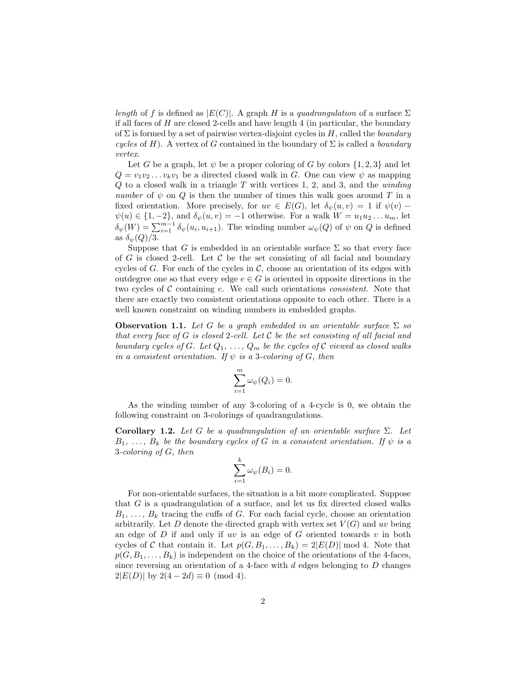length of f is defined as  $|E(C)|$ . A graph H is a quadrangulation of a surface  $\Sigma$ if all faces of  $H$  are closed 2-cells and have length 4 (in particular, the boundary of  $\Sigma$  is formed by a set of pairwise vertex-disjoint cycles in H, called the *boundary* cycles of H). A vertex of G contained in the boundary of  $\Sigma$  is called a *boundary* vertex.

Let G be a graph, let  $\psi$  be a proper coloring of G by colors  $\{1, 2, 3\}$  and let  $Q = v_1v_2 \ldots v_kv_1$  be a directed closed walk in G. One can view  $\psi$  as mapping  $Q$  to a closed walk in a triangle  $T$  with vertices 1, 2, and 3, and the *winding* number of  $\psi$  on  $Q$  is then the number of times this walk goes around T in a fixed orientation. More precisely, for  $uv \in E(G)$ , let  $\delta_{\psi}(u, v) = 1$  if  $\psi(v)$  –  $\psi(u) \in \{1, -2\}$ , and  $\delta_{\psi}(u, v) = -1$  otherwise. For a walk  $W = u_1 u_2 \dots u_m$ , let  $\delta_{\psi}(W) = \sum_{i=1}^{m-1} \delta_{\psi}(u_i, u_{i+1})$ . The winding number  $\omega_{\psi}(Q)$  of  $\psi$  on  $Q$  is defined as  $\delta_{\psi}(Q)/3$ .

Suppose that G is embedded in an orientable surface  $\Sigma$  so that every face of G is closed 2-cell. Let C be the set consisting of all facial and boundary cycles of G. For each of the cycles in  $\mathcal{C}$ , choose an orientation of its edges with outdegree one so that every edge  $e \in G$  is oriented in opposite directions in the two cycles of  $C$  containing  $e$ . We call such orientations *consistent*. Note that there are exactly two consistent orientations opposite to each other. There is a well known constraint on winding numbers in embedded graphs.

**Observation 1.1.** Let G be a graph embedded in an orientable surface  $\Sigma$  so that every face of  $G$  is closed 2-cell. Let  $\mathcal C$  be the set consisting of all facial and boundary cycles of G. Let  $Q_1, \ldots, Q_m$  be the cycles of C viewed as closed walks in a consistent orientation. If  $\psi$  is a 3-coloring of G, then

$$
\sum_{i=1}^{m} \omega_{\psi}(Q_i) = 0.
$$

As the winding number of any 3-coloring of a 4-cycle is 0, we obtain the following constraint on 3-colorings of quadrangulations.

<span id="page-1-0"></span>Corollary 1.2. Let G be a quadrangulation of an orientable surface  $\Sigma$ . Let  $B_1, \ldots, B_k$  be the boundary cycles of G in a consistent orientation. If  $\psi$  is a 3-coloring of G, then

$$
\sum_{i=1}^k \omega_{\psi}(B_i) = 0.
$$

For non-orientable surfaces, the situation is a bit more complicated. Suppose that  $G$  is a quadrangulation of a surface, and let us fix directed closed walks  $B_1, \ldots, B_k$  tracing the cuffs of G. For each facial cycle, choose an orientation arbitrarily. Let D denote the directed graph with vertex set  $V(G)$  and uv being an edge of  $D$  if and only if uv is an edge of  $G$  oriented towards  $v$  in both cycles of C that contain it. Let  $p(G, B_1, \ldots, B_k) = 2|E(D)| \bmod 4$ . Note that  $p(G, B_1, \ldots, B_k)$  is independent on the choice of the orientations of the 4-faces, since reversing an orientation of a 4-face with  $d$  edges belonging to  $D$  changes  $2|E(D)|$  by  $2(4-2d) \equiv 0 \pmod{4}$ .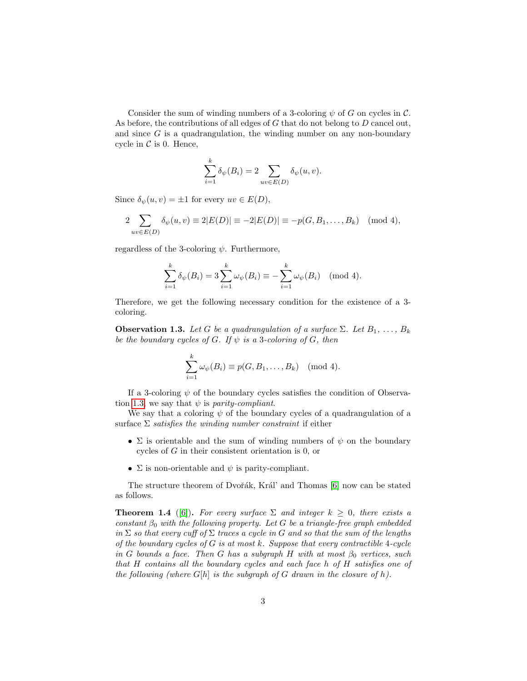Consider the sum of winding numbers of a 3-coloring  $\psi$  of G on cycles in C. As before, the contributions of all edges of G that do not belong to D cancel out, and since  $G$  is a quadrangulation, the winding number on any non-boundary cycle in  $\mathcal C$  is 0. Hence,

$$
\sum_{i=1}^{k} \delta_{\psi}(B_i) = 2 \sum_{uv \in E(D)} \delta_{\psi}(u, v).
$$

Since  $\delta_{\psi}(u, v) = \pm 1$  for every  $uv \in E(D)$ ,

$$
2\sum_{uv\in E(D)} \delta_{\psi}(u,v) \equiv 2|E(D)| \equiv -2|E(D)| \equiv -p(G,B_1,\ldots,B_k) \pmod{4},
$$

regardless of the 3-coloring  $\psi$ . Furthermore,

$$
\sum_{i=1}^{k} \delta_{\psi}(B_i) = 3 \sum_{i=1}^{k} \omega_{\psi}(B_i) \equiv -\sum_{i=1}^{k} \omega_{\psi}(B_i) \pmod{4}.
$$

Therefore, we get the following necessary condition for the existence of a 3 coloring.

<span id="page-2-0"></span>**Observation 1.3.** Let G be a quadrangulation of a surface  $\Sigma$ . Let  $B_1, \ldots, B_k$ be the boundary cycles of G. If  $\psi$  is a 3-coloring of G, then

$$
\sum_{i=1}^k \omega_{\psi}(B_i) \equiv p(G, B_1, \dots, B_k) \pmod{4}.
$$

If a 3-coloring  $\psi$  of the boundary cycles satisfies the condition of Observa-tion [1.3,](#page-2-0) we say that  $\psi$  is *parity-compliant*.

We say that a coloring  $\psi$  of the boundary cycles of a quadrangulation of a surface  $\Sigma$  satisfies the winding number constraint if either

- $\Sigma$  is orientable and the sum of winding numbers of  $\psi$  on the boundary cycles of G in their consistent orientation is 0, or
- $\Sigma$  is non-orientable and  $\psi$  is parity-compliant.

The structure theorem of Dvořák, Král' and Thomas [\[6\]](#page-13-1) now can be stated as follows.

<span id="page-2-1"></span>**Theorem 1.4** ([\[6\]](#page-13-1)). For every surface  $\Sigma$  and integer  $k > 0$ , there exists a constant  $\beta_0$  with the following property. Let G be a triangle-free graph embedded in  $\Sigma$  so that every cuff of  $\Sigma$  traces a cycle in G and so that the sum of the lengths of the boundary cycles of  $G$  is at most  $k$ . Suppose that every contractible 4-cycle in G bounds a face. Then G has a subgraph H with at most  $\beta_0$  vertices, such that H contains all the boundary cycles and each face h of H satisfies one of the following (where  $G[h]$  is the subgraph of G drawn in the closure of h).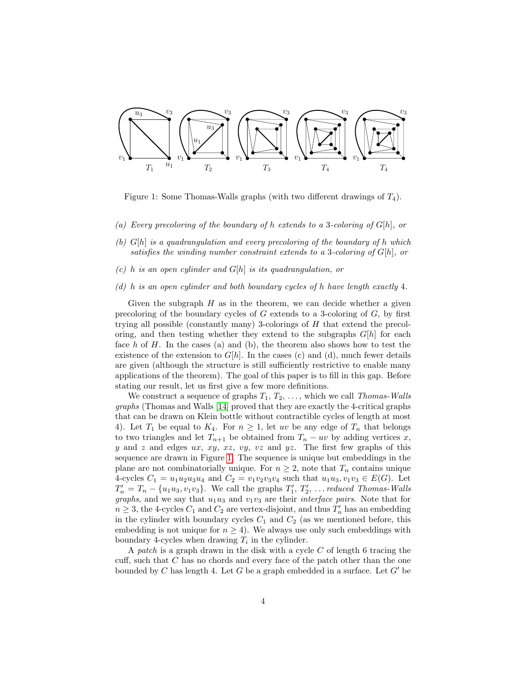

<span id="page-3-0"></span>Figure 1: Some Thomas-Walls graphs (with two different drawings of  $T_4$ ).

- (a) Every precoloring of the boundary of h extends to a 3-coloring of  $G[h]$ , or
- (b)  $G[h]$  is a quadrangulation and every precoloring of the boundary of h which satisfies the winding number constraint extends to a 3-coloring of  $G[h]$ , or
- $(c)$  h is an open cylinder and  $G[h]$  is its quadrangulation, or
- (d) h is an open cylinder and both boundary cycles of h have length exactly 4.

Given the subgraph  $H$  as in the theorem, we can decide whether a given precoloring of the boundary cycles of  $G$  extends to a 3-coloring of  $G$ , by first trying all possible (constantly many) 3-colorings of H that extend the precoloring, and then testing whether they extend to the subgraphs  $G[h]$  for each face  $h$  of  $H$ . In the cases (a) and (b), the theorem also shows how to test the existence of the extension to  $G[h]$ . In the cases (c) and (d), much fewer details are given (although the structure is still sufficiently restrictive to enable many applications of the theorem). The goal of this paper is to fill in this gap. Before stating our result, let us first give a few more definitions.

We construct a sequence of graphs  $T_1, T_2, \ldots$ , which we call Thomas-Walls graphs (Thomas and Walls [\[14\]](#page-13-8) proved that they are exactly the 4-critical graphs that can be drawn on Klein bottle without contractible cycles of length at most 4). Let  $T_1$  be equal to  $K_4$ . For  $n \geq 1$ , let uv be any edge of  $T_n$  that belongs to two triangles and let  $T_{n+1}$  be obtained from  $T_n - uv$  by adding vertices x,  $y$  and  $z$  and edges  $ux, xy, xz, vy, vz$  and  $yz$ . The first few graphs of this sequence are drawn in Figure [1.](#page-3-0) The sequence is unique but embeddings in the plane are not combinatorially unique. For  $n \geq 2$ , note that  $T_n$  contains unique 4-cycles  $C_1 = u_1u_2u_3u_4$  and  $C_2 = v_1v_2v_3v_4$  such that  $u_1u_3, v_1v_3 \in E(G)$ . Let  $T'_n = T_n - \{u_1u_3, v_1v_3\}$ . We call the graphs  $T'_1, T'_2, \ldots$  reduced Thomas-Walls graphs, and we say that  $u_1u_3$  and  $v_1v_3$  are their *interface pairs*. Note that for  $n \geq 3$ , the 4-cycles  $C_1$  and  $C_2$  are vertex-disjoint, and thus  $T'_n$  has an embedding in the cylinder with boundary cycles  $C_1$  and  $C_2$  (as we mentioned before, this embedding is not unique for  $n \geq 4$ ). We always use only such embeddings with boundary 4-cycles when drawing  $T_i$  in the cylinder.

A patch is a graph drawn in the disk with a cycle  $C$  of length 6 tracing the cuff, such that  $C$  has no chords and every face of the patch other than the one bounded by C has length 4. Let G be a graph embedded in a surface. Let  $G'$  be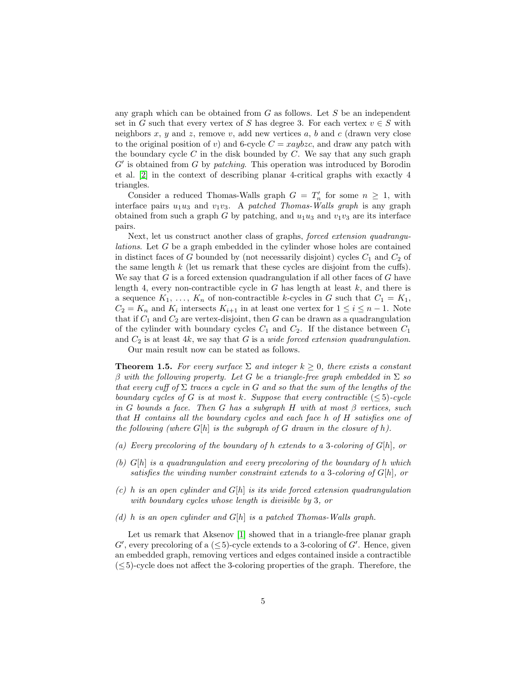any graph which can be obtained from  $G$  as follows. Let  $S$  be an independent set in G such that every vertex of S has degree 3. For each vertex  $v \in S$  with neighbors x, y and z, remove v, add new vertices a, b and c (drawn very close to the original position of v) and 6-cycle  $C = xaybzc$ , and draw any patch with the boundary cycle  $C$  in the disk bounded by  $C$ . We say that any such graph  $G'$  is obtained from  $G$  by *patching*. This operation was introduced by Borodin et al. [\[2\]](#page-13-9) in the context of describing planar 4-critical graphs with exactly 4 triangles.

Consider a reduced Thomas-Walls graph  $G = T'_n$  for some  $n \geq 1$ , with interface pairs  $u_1u_3$  and  $v_1v_3$ . A patched Thomas-Walls graph is any graph obtained from such a graph G by patching, and  $u_1u_3$  and  $v_1v_3$  are its interface pairs.

Next, let us construct another class of graphs, *forced extension quadrangu*lations. Let G be a graph embedded in the cylinder whose holes are contained in distinct faces of G bounded by (not necessarily disjoint) cycles  $C_1$  and  $C_2$  of the same length  $k$  (let us remark that these cycles are disjoint from the cuffs). We say that  $G$  is a forced extension quadrangulation if all other faces of  $G$  have length 4, every non-contractible cycle in  $G$  has length at least  $k$ , and there is a sequence  $K_1, \ldots, K_n$  of non-contractible k-cycles in G such that  $C_1 = K_1$ ,  $C_2 = K_n$  and  $K_i$  intersects  $K_{i+1}$  in at least one vertex for  $1 \leq i \leq n-1$ . Note that if  $C_1$  and  $C_2$  are vertex-disjoint, then G can be drawn as a quadrangulation of the cylinder with boundary cycles  $C_1$  and  $C_2$ . If the distance between  $C_1$ and  $C_2$  is at least 4k, we say that G is a *wide forced extension quadrangulation*.

Our main result now can be stated as follows.

<span id="page-4-0"></span>**Theorem 1.5.** For every surface  $\Sigma$  and integer  $k \geq 0$ , there exists a constant β with the following property. Let G be a triangle-free graph embedded in  $\Sigma$  so that every cuff of  $\Sigma$  traces a cycle in G and so that the sum of the lengths of the boundary cycles of G is at most k. Suppose that every contractible  $(\leq 5)$ -cycle in G bounds a face. Then G has a subgraph H with at most  $\beta$  vertices, such that H contains all the boundary cycles and each face h of H satisfies one of the following (where  $G[h]$  is the subgraph of G drawn in the closure of h).

- (a) Every precoloring of the boundary of h extends to a 3-coloring of  $G[h]$ , or
- (b)  $G[h]$  is a quadrangulation and every precoloring of the boundary of h which satisfies the winding number constraint extends to a 3-coloring of  $G[h]$ , or
- (c) h is an open cylinder and  $G[h]$  is its wide forced extension quadrangulation with boundary cycles whose length is divisible by 3, or
- (d) h is an open cylinder and  $G[h]$  is a patched Thomas-Walls graph.

Let us remark that Aksenov [\[1\]](#page-13-10) showed that in a triangle-free planar graph  $G'$ , every precoloring of a ( $\leq$ 5)-cycle extends to a 3-coloring of  $G'$ . Hence, given an embedded graph, removing vertices and edges contained inside a contractible  $( $5$ )-cycle does not affect the 3-coloring properties of the graph. Therefore, the$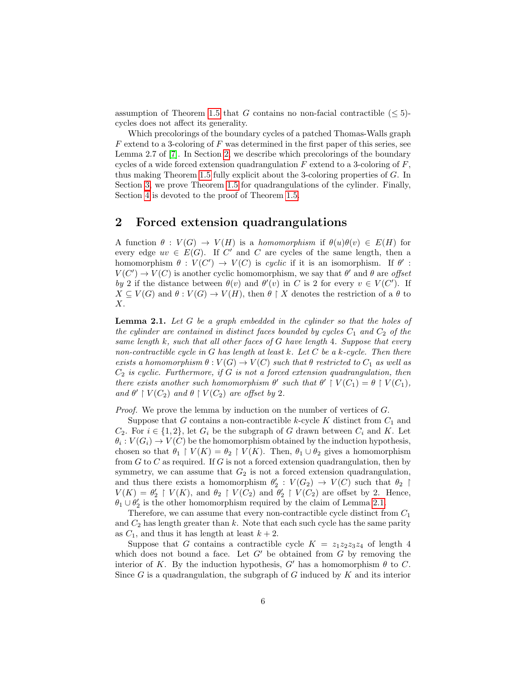assumption of Theorem [1.5](#page-4-0) that G contains no non-facial contractible  $(\leq 5)$ cycles does not affect its generality.

Which precolorings of the boundary cycles of a patched Thomas-Walls graph  $F$  extend to a 3-coloring of  $F$  was determined in the first paper of this series, see Lemma 2.7 of [\[7\]](#page-13-11). In Section [2,](#page-5-0) we describe which precolorings of the boundary cycles of a wide forced extension quadrangulation  $F$  extend to a 3-coloring of  $F$ , thus making Theorem [1.5](#page-4-0) fully explicit about the 3-coloring properties of G. In Section [3,](#page-8-0) we prove Theorem [1.5](#page-4-0) for quadrangulations of the cylinder. Finally, Section [4](#page-11-0) is devoted to the proof of Theorem [1.5.](#page-4-0)

#### <span id="page-5-0"></span>2 Forced extension quadrangulations

A function  $\theta : V(G) \to V(H)$  is a homomorphism if  $\theta(u)\theta(v) \in E(H)$  for every edge  $uv \in E(G)$ . If C' and C are cycles of the same length, then a homomorphism  $\theta: V(C') \to V(C)$  is cyclic if it is an isomorphism. If  $\theta'$ :  $V(C') \to V(C)$  is another cyclic homomorphism, we say that  $\theta'$  and  $\theta$  are offset by 2 if the distance between  $\theta(v)$  and  $\theta'(v)$  in C is 2 for every  $v \in V(C')$ . If  $X \subseteq V(G)$  and  $\theta : V(G) \to V(H)$ , then  $\theta \upharpoonright X$  denotes the restriction of a  $\theta$  to  $X$ .

<span id="page-5-1"></span>**Lemma 2.1.** Let  $G$  be a graph embedded in the cylinder so that the holes of the cylinder are contained in distinct faces bounded by cycles  $C_1$  and  $C_2$  of the same length k, such that all other faces of  $G$  have length 4. Suppose that every non-contractible cycle in G has length at least k. Let  $C$  be a k-cycle. Then there exists a homomorphism  $\theta : V(G) \to V(C)$  such that  $\theta$  restricted to  $C_1$  as well as  $C_2$  is cyclic. Furthermore, if G is not a forced extension quadrangulation, then there exists another such homomorphism  $\theta'$  such that  $\theta' \restriction V(C_1) = \theta \restriction V(C_1)$ , and  $\theta' \restriction V(C_2)$  and  $\theta \restriction V(C_2)$  are offset by 2.

Proof. We prove the lemma by induction on the number of vertices of G.

Suppose that  $G$  contains a non-contractible  $k$ -cycle  $K$  distinct from  $C_1$  and  $C_2$ . For  $i \in \{1,2\}$ , let  $G_i$  be the subgraph of G drawn between  $C_i$  and K. Let  $\theta_i: V(G_i) \to V(C)$  be the homomorphism obtained by the induction hypothesis, chosen so that  $\theta_1 \restriction V(K) = \theta_2 \restriction V(K)$ . Then,  $\theta_1 \cup \theta_2$  gives a homomorphism from  $G$  to  $C$  as required. If  $G$  is not a forced extension quadrangulation, then by symmetry, we can assume that  $G_2$  is not a forced extension quadrangulation, and thus there exists a homomorphism  $\theta_2': V(G_2) \to V(C)$  such that  $\theta_2 \upharpoonright$  $V(K) = \theta_2' \restriction V(K)$ , and  $\theta_2 \restriction V(C_2)$  and  $\theta_2' \restriction V(C_2)$  are offset by 2. Hence,  $\theta_1 \cup \theta_2'$  is the other homomorphism required by the claim of Lemma [2.1.](#page-5-1)

Therefore, we can assume that every non-contractible cycle distinct from  $C_1$ and  $C_2$  has length greater than k. Note that each such cycle has the same parity as  $C_1$ , and thus it has length at least  $k + 2$ .

Suppose that G contains a contractible cycle  $K = z_1z_2z_3z_4$  of length 4 which does not bound a face. Let  $G'$  be obtained from  $G$  by removing the interior of K. By the induction hypothesis, G' has a homomorphism  $\theta$  to C. Since  $G$  is a quadrangulation, the subgraph of  $G$  induced by  $K$  and its interior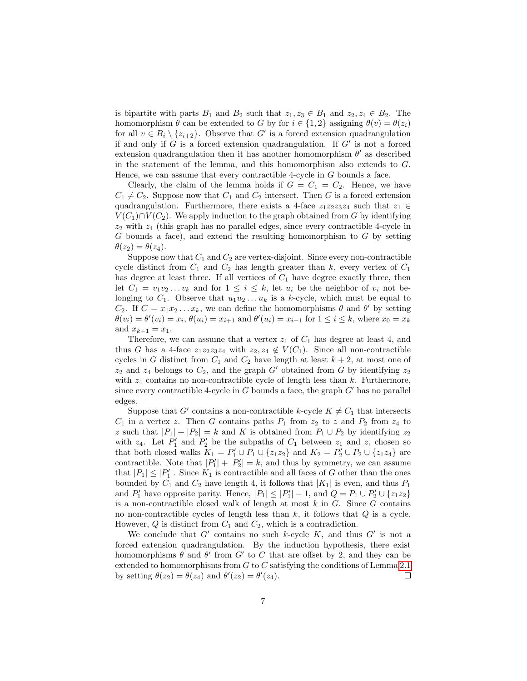is bipartite with parts  $B_1$  and  $B_2$  such that  $z_1, z_3 \in B_1$  and  $z_2, z_4 \in B_2$ . The homomorphism  $\theta$  can be extended to G by for  $i \in \{1,2\}$  assigning  $\theta(v) = \theta(z_i)$ for all  $v \in B_i \setminus \{z_{i+2}\}\$ . Observe that G' is a forced extension quadrangulation if and only if  $G$  is a forced extension quadrangulation. If  $G'$  is not a forced extension quadrangulation then it has another homomorphism  $\theta'$  as described in the statement of the lemma, and this homomorphism also extends to G. Hence, we can assume that every contractible 4-cycle in  $G$  bounds a face.

Clearly, the claim of the lemma holds if  $G = C_1 = C_2$ . Hence, we have  $C_1 \neq C_2$ . Suppose now that  $C_1$  and  $C_2$  intersect. Then G is a forced extension quadrangulation. Furthermore, there exists a 4-face  $z_1z_2z_3z_4$  such that  $z_1 \in$  $V(C_1) \cap V(C_2)$ . We apply induction to the graph obtained from G by identifying  $z_2$  with  $z_4$  (this graph has no parallel edges, since every contractible 4-cycle in  $G$  bounds a face), and extend the resulting homomorphism to  $G$  by setting  $\theta(z_2) = \theta(z_4)$ .

Suppose now that  $C_1$  and  $C_2$  are vertex-disjoint. Since every non-contractible cycle distinct from  $C_1$  and  $C_2$  has length greater than k, every vertex of  $C_1$ has degree at least three. If all vertices of  $C_1$  have degree exactly three, then let  $C_1 = v_1v_2...v_k$  and for  $1 \leq i \leq k$ , let  $u_i$  be the neighbor of  $v_i$  not belonging to  $C_1$ . Observe that  $u_1u_2...u_k$  is a k-cycle, which must be equal to  $C_2$ . If  $C = x_1 x_2 ... x_k$ , we can define the homomorphisms  $\theta$  and  $\theta'$  by setting  $\theta(v_i) = \theta'(v_i) = x_i, \, \theta(u_i) = x_{i+1} \text{ and } \theta'(u_i) = x_{i-1} \text{ for } 1 \le i \le k, \text{ where } x_0 = x_k$ and  $x_{k+1} = x_1$ .

Therefore, we can assume that a vertex  $z_1$  of  $C_1$  has degree at least 4, and thus G has a 4-face  $z_1z_2z_3z_4$  with  $z_2, z_4 \notin V(C_1)$ . Since all non-contractible cycles in G distinct from  $C_1$  and  $C_2$  have length at least  $k + 2$ , at most one of  $z_2$  and  $z_4$  belongs to  $C_2$ , and the graph G' obtained from G by identifying  $z_2$ with  $z_4$  contains no non-contractible cycle of length less than k. Furthermore, since every contractible 4-cycle in  $G$  bounds a face, the graph  $G'$  has no parallel edges.

Suppose that G' contains a non-contractible k-cycle  $K \neq C_1$  that intersects  $C_1$  in a vertex z. Then G contains paths  $P_1$  from  $z_2$  to z and  $P_2$  from  $z_4$  to z such that  $|P_1| + |P_2| = k$  and K is obtained from  $P_1 \cup P_2$  by identifying  $z_2$ with  $z_4$ . Let  $P'_1$  and  $P'_2$  be the subpaths of  $C_1$  between  $z_1$  and  $z$ , chosen so that both closed walks  $K_1 = P'_1 \cup P_1 \cup \{z_1 z_2\}$  and  $K_2 = P'_2 \cup P_2 \cup \{z_1 z_4\}$  are contractible. Note that  $|P'_1| + |P'_2| = k$ , and thus by symmetry, we can assume that  $|P_1| \leq |P'_1|$ . Since  $K_1$  is contractible and all faces of G other than the ones bounded by  $C_1$  and  $C_2$  have length 4, it follows that  $|K_1|$  is even, and thus  $P_1$ and  $P'_1$  have opposite parity. Hence,  $|P_1| \leq |P'_1| - 1$ , and  $Q = P_1 \cup P'_2 \cup \{z_1 z_2\}$ is a non-contractible closed walk of length at most  $k$  in  $G$ . Since  $G$  contains no non-contractible cycles of length less than  $k$ , it follows that  $Q$  is a cycle. However,  $Q$  is distinct from  $C_1$  and  $C_2$ , which is a contradiction.

We conclude that  $G'$  contains no such k-cycle  $K$ , and thus  $G'$  is not a forced extension quadrangulation. By the induction hypothesis, there exist homomorphisms  $\theta$  and  $\theta'$  from  $G'$  to C that are offset by 2, and they can be extended to homomorphisms from  $G$  to  $C$  satisfying the conditions of Lemma [2.1](#page-5-1) by setting  $\theta(z_2) = \theta(z_4)$  and  $\theta'(z_2) = \theta'(z_4)$ .  $\Box$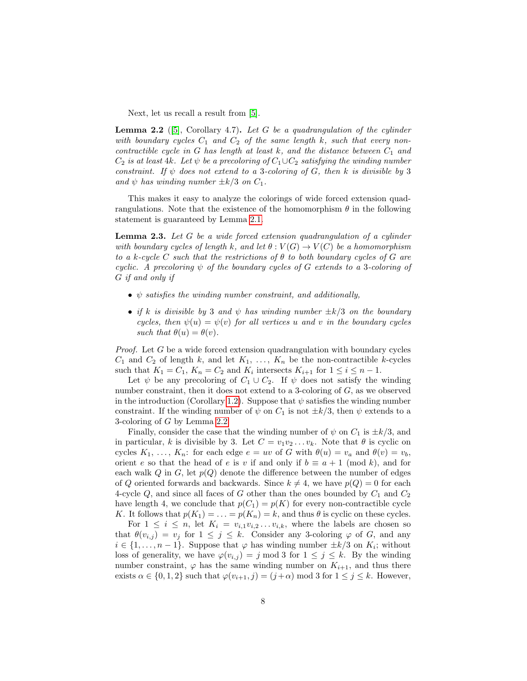Next, let us recall a result from [\[5\]](#page-13-12).

<span id="page-7-0"></span>**Lemma 2.2** ([\[5\]](#page-13-12), Corollary 4.7). Let G be a quadrangulation of the cylinder with boundary cycles  $C_1$  and  $C_2$  of the same length k, such that every noncontractible cycle in  $G$  has length at least  $k$ , and the distance between  $C_1$  and  $C_2$  is at least 4k. Let  $\psi$  be a precoloring of  $C_1 \cup C_2$  satisfying the winding number constraint. If  $\psi$  does not extend to a 3-coloring of G, then k is divisible by 3 and  $\psi$  has winding number  $\pm k/3$  on  $C_1$ .

This makes it easy to analyze the colorings of wide forced extension quadrangulations. Note that the existence of the homomorphism  $\theta$  in the following statement is guaranteed by Lemma [2.1.](#page-5-1)

<span id="page-7-1"></span>**Lemma 2.3.** Let  $G$  be a wide forced extension quadrangulation of a cylinder with boundary cycles of length k, and let  $\theta: V(G) \to V(C)$  be a homomorphism to a k-cycle C such that the restrictions of  $\theta$  to both boundary cycles of G are cyclic. A precoloring  $\psi$  of the boundary cycles of G extends to a 3-coloring of G if and only if

- $\psi$  satisfies the winding number constraint, and additionally,
- if k is divisible by 3 and  $\psi$  has winding number  $\pm k/3$  on the boundary cycles, then  $\psi(u) = \psi(v)$  for all vertices u and v in the boundary cycles such that  $\theta(u) = \theta(v)$ .

*Proof.* Let  $G$  be a wide forced extension quadrangulation with boundary cycles  $C_1$  and  $C_2$  of length k, and let  $K_1, \ldots, K_n$  be the non-contractible k-cycles such that  $K_1 = C_1$ ,  $K_n = C_2$  and  $K_i$  intersects  $K_{i+1}$  for  $1 \leq i \leq n-1$ .

Let  $\psi$  be any precoloring of  $C_1 \cup C_2$ . If  $\psi$  does not satisfy the winding number constraint, then it does not extend to a 3-coloring of G, as we observed in the introduction (Corollary [1.2\)](#page-1-0). Suppose that  $\psi$  satisfies the winding number constraint. If the winding number of  $\psi$  on  $C_1$  is not  $\pm k/3$ , then  $\psi$  extends to a 3-coloring of G by Lemma [2.2.](#page-7-0)

Finally, consider the case that the winding number of  $\psi$  on  $C_1$  is  $\pm k/3$ , and in particular, k is divisible by 3. Let  $C = v_1v_2 \ldots v_k$ . Note that  $\theta$  is cyclic on cycles  $K_1, \ldots, K_n$ : for each edge  $e = uv$  of G with  $\theta(u) = v_a$  and  $\theta(v) = v_b$ , orient e so that the head of e is v if and only if  $b \equiv a + 1 \pmod{k}$ , and for each walk  $Q$  in  $G$ , let  $p(Q)$  denote the difference between the number of edges of Q oriented forwards and backwards. Since  $k \neq 4$ , we have  $p(Q) = 0$  for each 4-cycle  $Q$ , and since all faces of G other than the ones bounded by  $C_1$  and  $C_2$ have length 4, we conclude that  $p(C_1) = p(K)$  for every non-contractible cycle K. It follows that  $p(K_1) = \ldots = p(K_n) = k$ , and thus  $\theta$  is cyclic on these cycles.

For  $1 \leq i \leq n$ , let  $K_i = v_{i,1}v_{i,2} \ldots v_{i,k}$ , where the labels are chosen so that  $\theta(v_{i,j}) = v_j$  for  $1 \leq j \leq k$ . Consider any 3-coloring  $\varphi$  of G, and any  $i \in \{1, \ldots, n-1\}$ . Suppose that  $\varphi$  has winding number  $\pm k/3$  on  $K_i$ ; without loss of generality, we have  $\varphi(v_{i,j}) = j \mod 3$  for  $1 \leq j \leq k$ . By the winding number constraint,  $\varphi$  has the same winding number on  $K_{i+1}$ , and thus there exists  $\alpha \in \{0, 1, 2\}$  such that  $\varphi(v_{i+1}, j) = (j + \alpha) \mod 3$  for  $1 \leq j \leq k$ . However,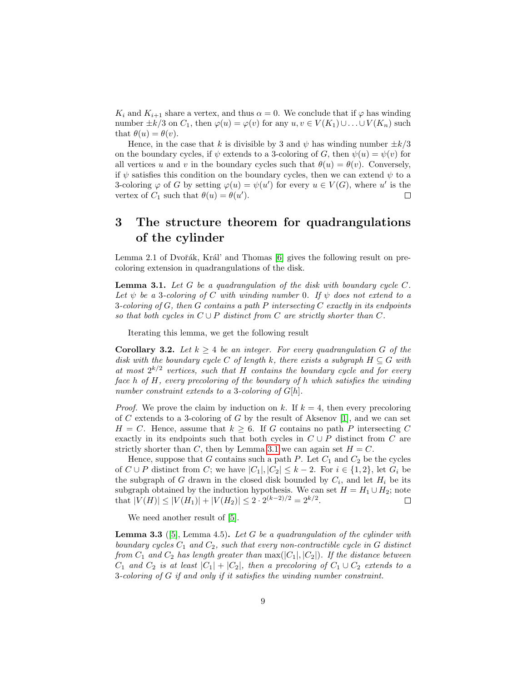$K_i$  and  $K_{i+1}$  share a vertex, and thus  $\alpha = 0$ . We conclude that if  $\varphi$  has winding number  $\pm k/3$  on  $C_1$ , then  $\varphi(u) = \varphi(v)$  for any  $u, v \in V(K_1) \cup ... \cup V(K_n)$  such that  $\theta(u) = \theta(v)$ .

Hence, in the case that k is divisible by 3 and  $\psi$  has winding number  $\pm k/3$ on the boundary cycles, if  $\psi$  extends to a 3-coloring of G, then  $\psi(u) = \psi(v)$  for all vertices u and v in the boundary cycles such that  $\theta(u) = \theta(v)$ . Conversely, if  $\psi$  satisfies this condition on the boundary cycles, then we can extend  $\psi$  to a 3-coloring  $\varphi$  of G by setting  $\varphi(u) = \psi(u')$  for every  $u \in V(G)$ , where u' is the vertex of  $C_1$  such that  $\theta(u) = \theta(u')$ .  $\Box$ 

## <span id="page-8-0"></span>3 The structure theorem for quadrangulations of the cylinder

Lemma 2.1 of Dvořák, Král' and Thomas  $[6]$  gives the following result on precoloring extension in quadrangulations of the disk.

<span id="page-8-1"></span>**Lemma 3.1.** Let G be a quadrangulation of the disk with boundary cycle  $C$ . Let  $\psi$  be a 3-coloring of C with winding number 0. If  $\psi$  does not extend to a 3-coloring of G, then G contains a path P intersecting C exactly in its endpoints so that both cycles in  $C \cup P$  distinct from C are strictly shorter than C.

Iterating this lemma, we get the following result

<span id="page-8-3"></span>**Corollary 3.2.** Let  $k \geq 4$  be an integer. For every quadrangulation G of the disk with the boundary cycle C of length k, there exists a subgraph  $H \subseteq G$  with at most  $2^{k/2}$  vertices, such that H contains the boundary cycle and for every face h of  $H$ , every precoloring of the boundary of h which satisfies the winding number constraint extends to a 3-coloring of  $G[h]$ .

*Proof.* We prove the claim by induction on k. If  $k = 4$ , then every precoloring of C extends to a 3-coloring of G by the result of Aksenov [\[1\]](#page-13-10), and we can set  $H = C$ . Hence, assume that  $k > 6$ . If G contains no path P intersecting C exactly in its endpoints such that both cycles in  $C \cup P$  distinct from C are strictly shorter than C, then by Lemma [3.1](#page-8-1) we can again set  $H = C$ .

Hence, suppose that G contains such a path P. Let  $C_1$  and  $C_2$  be the cycles of  $C \cup P$  distinct from C; we have  $|C_1|, |C_2| \leq k-2$ . For  $i \in \{1,2\}$ , let  $G_i$  be the subgraph of G drawn in the closed disk bounded by  $C_i$ , and let  $H_i$  be its subgraph obtained by the induction hypothesis. We can set  $H = H_1 \cup H_2$ ; note that  $|V(H)| \leq |V(H_1)| + |V(H_2)| \leq 2 \cdot 2^{(k-2)/2} = 2^{k/2}.$  $\Box$ 

We need another result of  $[5]$ .

<span id="page-8-2"></span>**Lemma 3.3** ([\[5\]](#page-13-12), Lemma 4.5). Let G be a quadrangulation of the cylinder with boundary cycles  $C_1$  and  $C_2$ , such that every non-contractible cycle in G distinct from  $C_1$  and  $C_2$  has length greater than  $\max(|C_1|, |C_2|)$ . If the distance between  $C_1$  and  $C_2$  is at least  $|C_1| + |C_2|$ , then a precoloring of  $C_1 \cup C_2$  extends to a 3-coloring of G if and only if it satisfies the winding number constraint.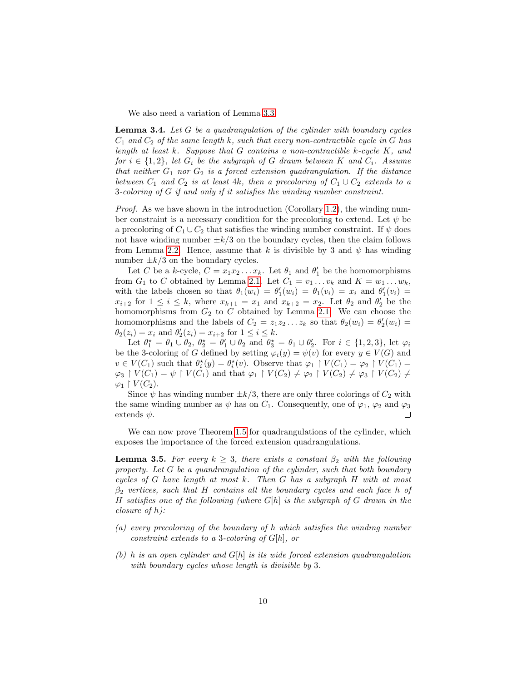We also need a variation of Lemma [3.3.](#page-8-2)

<span id="page-9-1"></span>**Lemma 3.4.** Let  $G$  be a quadrangulation of the cylinder with boundary cycles  $C_1$  and  $C_2$  of the same length k, such that every non-contractible cycle in G has length at least  $k$ . Suppose that  $G$  contains a non-contractible  $k$ -cycle  $K$ , and for  $i \in \{1,2\}$ , let  $G_i$  be the subgraph of G drawn between K and  $C_i$ . Assume that neither  $G_1$  nor  $G_2$  is a forced extension quadrangulation. If the distance between  $C_1$  and  $C_2$  is at least 4k, then a precoloring of  $C_1 \cup C_2$  extends to a 3-coloring of G if and only if it satisfies the winding number constraint.

*Proof.* As we have shown in the introduction (Corollary [1.2\)](#page-1-0), the winding number constraint is a necessary condition for the precoloring to extend. Let  $\psi$  be a precoloring of  $C_1 \cup C_2$  that satisfies the winding number constraint. If  $\psi$  does not have winding number  $\pm k/3$  on the boundary cycles, then the claim follows from Lemma [2.2.](#page-7-0) Hence, assume that k is divisible by 3 and  $\psi$  has winding number  $\pm k/3$  on the boundary cycles.

Let C be a k-cycle,  $C = x_1 x_2 ... x_k$ . Let  $\theta_1$  and  $\theta'_1$  be the homomorphisms from  $G_1$  to C obtained by Lemma [2.1.](#page-5-1) Let  $C_1 = v_1 \dots v_k$  and  $K = w_1 \dots w_k$ , with the labels chosen so that  $\theta_1(w_i) = \theta'_1(w_i) = \theta_1(v_i) = x_i$  and  $\theta'_1(v_i) =$  $x_{i+2}$  for  $1 \leq i \leq k$ , where  $x_{k+1} = x_1$  and  $x_{k+2} = x_2$ . Let  $\theta_2$  and  $\theta_2'$  be the homomorphisms from  $G_2$  to  $C$  obtained by Lemma [2.1.](#page-5-1) We can choose the homomorphisms and the labels of  $C_2 = z_1 z_2 ... z_k$  so that  $\theta_2(w_i) = \theta'_2(w_i)$  $\theta_2(z_i) = x_i$  and  $\theta'_2(z_i) = x_{i+2}$  for  $1 \le i \le k$ .

Let  $\theta_1^* = \theta_1 \cup \theta_2$ ,  $\theta_2^* = \theta_1' \cup \theta_2$  and  $\theta_3^* = \theta_1 \cup \theta_2'$ . For  $i \in \{1, 2, 3\}$ , let  $\varphi_i$ be the 3-coloring of G defined by setting  $\varphi_i(y) = \psi(v)$  for every  $y \in V(G)$  and  $v \in V(C_1)$  such that  $\theta_i^*(y) = \theta_i^*(v)$ . Observe that  $\varphi_1 \restriction V(C_1) = \varphi_2 \restriction V(C_1) =$  $\varphi_3 \restriction V(C_1) = \psi \restriction V(C_1)$  and that  $\varphi_1 \restriction V(C_2) \neq \varphi_2 \restriction V(C_2) \neq \varphi_3 \restriction V(C_2) \neq \varphi_3$  $\varphi_1 \restriction V(C_2).$ 

Since  $\psi$  has winding number  $\pm k/3$ , there are only three colorings of  $C_2$  with the same winding number as  $\psi$  has on  $C_1$ . Consequently, one of  $\varphi_1$ ,  $\varphi_2$  and  $\varphi_3$ extends  $\psi$ .  $\Box$ 

We can now prove Theorem [1.5](#page-4-0) for quadrangulations of the cylinder, which exposes the importance of the forced extension quadrangulations.

<span id="page-9-0"></span>**Lemma 3.5.** For every  $k \geq 3$ , there exists a constant  $\beta_2$  with the following property. Let G be a quandrangulation of the cylinder, such that both boundary cycles of G have length at most k. Then G has a subgraph H with at most  $\beta_2$  vertices, such that H contains all the boundary cycles and each face h of H satisfies one of the following (where  $G[h]$  is the subgraph of G drawn in the closure of h):

- (a) every precoloring of the boundary of h which satisfies the winding number constraint extends to a 3-coloring of  $G[h]$ , or
- (b) h is an open cylinder and  $G[h]$  is its wide forced extension quadrangulation with boundary cycles whose length is divisible by 3.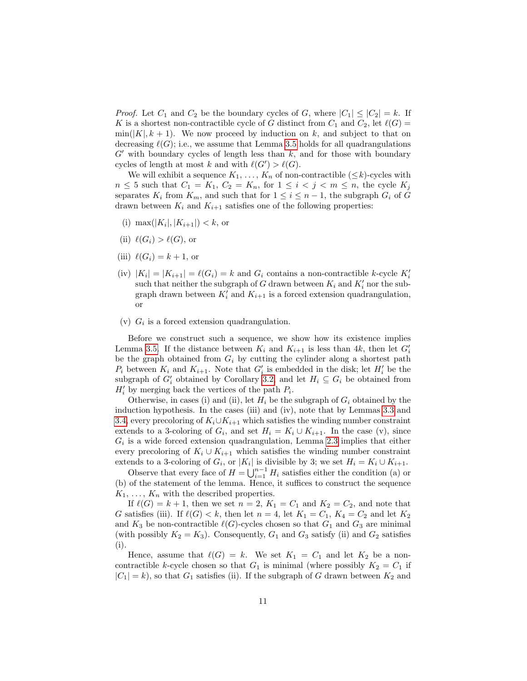*Proof.* Let  $C_1$  and  $C_2$  be the boundary cycles of G, where  $|C_1| \leq |C_2| = k$ . If K is a shortest non-contractible cycle of G distinct from  $C_1$  and  $C_2$ , let  $\ell(G)$  =  $\min(|K|, k+1)$ . We now proceed by induction on k, and subject to that on decreasing  $\ell(G)$ ; i.e., we assume that Lemma [3.5](#page-9-0) holds for all quadrangulations  $G'$  with boundary cycles of length less than k, and for those with boundary cycles of length at most k and with  $\ell(G') > \ell(G)$ .

We will exhibit a sequence  $K_1, \ldots, K_n$  of non-contractible  $(\leq k)$ -cycles with  $n \leq 5$  such that  $C_1 = K_1$ ,  $C_2 = K_n$ , for  $1 \leq i \leq j \leq m \leq n$ , the cycle  $K_j$ separates  $K_i$  from  $K_m$ , and such that for  $1 \leq i \leq n-1$ , the subgraph  $G_i$  of G drawn between  $K_i$  and  $K_{i+1}$  satisfies one of the following properties:

- (i) max $(|K_i|, |K_{i+1}|) < k$ , or
- (ii)  $\ell(G_i) > \ell(G)$ , or
- (iii)  $\ell(G_i) = k + 1$ , or
- (iv)  $|K_i| = |K_{i+1}| = \ell(G_i) = k$  and  $G_i$  contains a non-contractible k-cycle  $K_i'$ such that neither the subgraph of G drawn between  $K_i$  and  $K'_i$  nor the subgraph drawn between  $K_i'$  and  $K_{i+1}$  is a forced extension quadrangulation, or
- (v)  $G_i$  is a forced extension quadrangulation.

Before we construct such a sequence, we show how its existence implies Lemma [3.5.](#page-9-0) If the distance between  $K_i$  and  $K_{i+1}$  is less than 4k, then let  $G_i'$ be the graph obtained from  $G_i$  by cutting the cylinder along a shortest path  $P_i$  between  $K_i$  and  $K_{i+1}$ . Note that  $G_i'$  is embedded in the disk; let  $H_i'$  be the subgraph of  $G_i'$  obtained by Corollary [3.2,](#page-8-3) and let  $H_i \subseteq G_i$  be obtained from  $H'_{i}$  by merging back the vertices of the path  $P_{i}$ .

Otherwise, in cases (i) and (ii), let  $H_i$  be the subgraph of  $G_i$  obtained by the induction hypothesis. In the cases (iii) and (iv), note that by Lemmas [3.3](#page-8-2) and [3.4,](#page-9-1) every precoloring of  $K_i\cup K_{i+1}$  which satisfies the winding number constraint extends to a 3-coloring of  $G_i$ , and set  $H_i = K_i \cup K_{i+1}$ . In the case (v), since  $G_i$  is a wide forced extension quadrangulation, Lemma [2.3](#page-7-1) implies that either every precoloring of  $K_i \cup K_{i+1}$  which satisfies the winding number constraint extends to a 3-coloring of  $G_i$ , or  $|K_i|$  is divisible by 3; we set  $H_i = K_i \cup K_{i+1}$ .

Observe that every face of  $H = \bigcup_{i=1}^{n-1} H_i$  satisfies either the condition (a) or (b) of the statement of the lemma. Hence, it suffices to construct the sequence  $K_1, \ldots, K_n$  with the described properties.

If  $\ell(G) = k + 1$ , then we set  $n = 2$ ,  $K_1 = C_1$  and  $K_2 = C_2$ , and note that G satisfies (iii). If  $\ell(G) < k$ , then let  $n = 4$ , let  $K_1 = C_1$ ,  $K_4 = C_2$  and let  $K_2$ and  $K_3$  be non-contractible  $\ell(G)$ -cycles chosen so that  $G_1$  and  $G_3$  are minimal (with possibly  $K_2 = K_3$ ). Consequently,  $G_1$  and  $G_3$  satisfy (ii) and  $G_2$  satisfies (i).

Hence, assume that  $\ell(G) = k$ . We set  $K_1 = C_1$  and let  $K_2$  be a noncontractible k-cycle chosen so that  $G_1$  is minimal (where possibly  $K_2 = C_1$  if  $|C_1| = k$ , so that  $G_1$  satisfies (ii). If the subgraph of G drawn between  $K_2$  and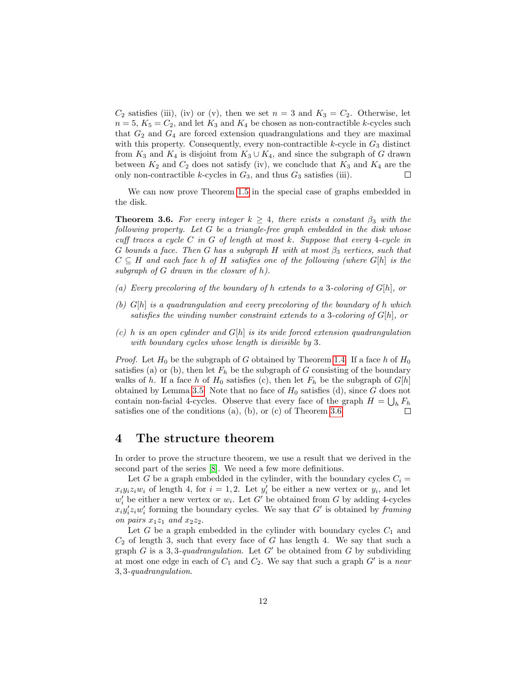$C_2$  satisfies (iii), (iv) or (v), then we set  $n = 3$  and  $K_3 = C_2$ . Otherwise, let  $n = 5, K_5 = C_2$ , and let  $K_3$  and  $K_4$  be chosen as non-contractible k-cycles such that  $G_2$  and  $G_4$  are forced extension quadrangulations and they are maximal with this property. Consequently, every non-contractible  $k$ -cycle in  $G_3$  distinct from  $K_3$  and  $K_4$  is disjoint from  $K_3 \cup K_4$ , and since the subgraph of G drawn between  $K_2$  and  $C_2$  does not satisfy (iv), we conclude that  $K_3$  and  $K_4$  are the only non-contractible k-cycles in  $G_3$ , and thus  $G_3$  satisfies (iii).  $\Box$ 

We can now prove Theorem [1.5](#page-4-0) in the special case of graphs embedded in the disk.

<span id="page-11-1"></span>**Theorem 3.6.** For every integer  $k \geq 4$ , there exists a constant  $\beta_3$  with the following property. Let  $G$  be a triangle-free graph embedded in the disk whose cuff traces a cycle  $C$  in  $G$  of length at most  $k$ . Suppose that every 4-cycle in G bounds a face. Then G has a subgraph H with at most  $\beta_3$  vertices, such that  $C \subseteq H$  and each face h of H satisfies one of the following (where  $G[h]$  is the subgraph of  $G$  drawn in the closure of  $h$ ).

- (a) Every precoloring of the boundary of h extends to a 3-coloring of  $G[h]$ , or
- (b)  $G[h]$  is a quadrangulation and every precoloring of the boundary of h which satisfies the winding number constraint extends to a 3-coloring of  $G[h]$ , or
- (c) h is an open cylinder and  $G[h]$  is its wide forced extension quadrangulation with boundary cycles whose length is divisible by 3.

*Proof.* Let  $H_0$  be the subgraph of G obtained by Theorem [1.4.](#page-2-1) If a face h of  $H_0$ satisfies (a) or (b), then let  $F_h$  be the subgraph of G consisting of the boundary walks of h. If a face h of  $H_0$  satisfies (c), then let  $F_h$  be the subgraph of  $G[h]$ obtained by Lemma [3.5.](#page-9-0) Note that no face of  $H_0$  satisfies (d), since G does not contain non-facial 4-cycles. Observe that every face of the graph  $H = \bigcup_h F_h$ satisfies one of the conditions (a), (b), or (c) of Theorem [3.6.](#page-11-1)

#### <span id="page-11-0"></span>4 The structure theorem

In order to prove the structure theorem, we use a result that we derived in the second part of the series [\[8\]](#page-13-13). We need a few more definitions.

Let G be a graph embedded in the cylinder, with the boundary cycles  $C_i$  =  $x_i y_i z_i w_i$  of length 4, for  $i = 1, 2$ . Let  $y'_i$  be either a new vertex or  $y_i$ , and let  $w'_{i}$  be either a new vertex or  $w_{i}$ . Let  $G'$  be obtained from G by adding 4-cycles  $x_i y_i' z_i w_i'$  forming the boundary cycles. We say that G' is obtained by framing on pairs  $x_1z_1$  and  $x_2z_2$ .

Let G be a graph embedded in the cylinder with boundary cycles  $C_1$  and  $C_2$  of length 3, such that every face of G has length 4. We say that such a graph G is a 3,3-quadrangulation. Let G' be obtained from G by subdividing at most one edge in each of  $C_1$  and  $C_2$ . We say that such a graph  $G'$  is a near 3, 3-quadrangulation.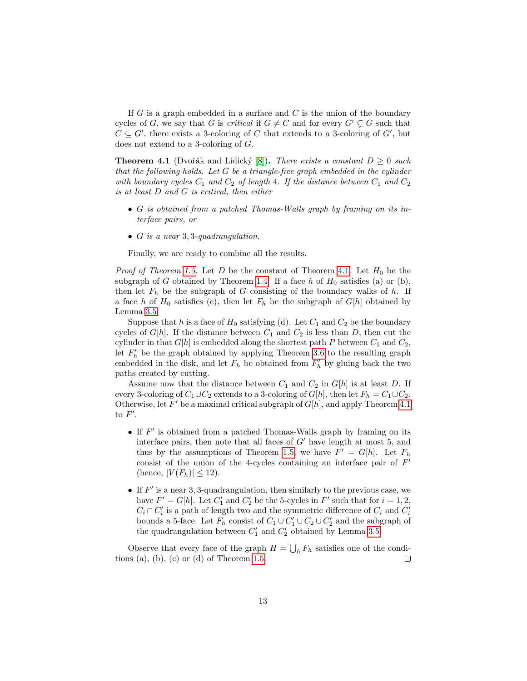If  $G$  is a graph embedded in a surface and  $C$  is the union of the boundary cycles of G, we say that G is *critical* if  $G \neq C$  and for every  $G' \subsetneq G$  such that  $C \subseteq G'$ , there exists a 3-coloring of C that extends to a 3-coloring of  $G'$ , but does not extend to a 3-coloring of G.

<span id="page-12-0"></span>**Theorem 4.1** (Dvořák and Lidický [\[8\]](#page-13-13)). There exists a constant  $D \geq 0$  such that the following holds. Let G be a triangle-free graph embedded in the cylinder with boundary cycles  $C_1$  and  $C_2$  of length 4. If the distance between  $C_1$  and  $C_2$ is at least D and G is critical, then either

- G is obtained from a patched Thomas-Walls graph by framing on its interface pairs, or
- $G$  is a near 3, 3-quadrangulation.

Finally, we are ready to combine all the results.

*Proof of Theorem [1.5.](#page-4-0)* Let D be the constant of Theorem [4.1.](#page-12-0) Let  $H_0$  be the subgraph of G obtained by Theorem [1.4.](#page-2-1) If a face h of  $H_0$  satisfies (a) or (b), then let  $F_h$  be the subgraph of G consisting of the boundary walks of h. If a face h of  $H_0$  satisfies (c), then let  $F_h$  be the subgraph of  $G[h]$  obtained by Lemma [3.5.](#page-9-0)

Suppose that h is a face of  $H_0$  satisfying (d). Let  $C_1$  and  $C_2$  be the boundary cycles of  $G[h]$ . If the distance between  $C_1$  and  $C_2$  is less than D, then cut the cylinder in that  $G[h]$  is embedded along the shortest path P between  $C_1$  and  $C_2$ , let  $F'_{h}$  be the graph obtained by applying Theorem [3.6](#page-11-1) to the resulting graph embedded in the disk, and let  $F_h$  be obtained from  $F'_h$  by gluing back the two paths created by cutting.

Assume now that the distance between  $C_1$  and  $C_2$  in  $G[h]$  is at least D. If every 3-coloring of  $C_1 \cup C_2$  extends to a 3-coloring of  $G[h]$ , then let  $F_h = C_1 \cup C_2$ . Otherwise, let  $F'$  be a maximal critical subgraph of  $G[h]$ , and apply Theorem [4.1](#page-12-0) to  $F'$ .

- If  $F'$  is obtained from a patched Thomas-Walls graph by framing on its interface pairs, then note that all faces of  $G'$  have length at most 5, and thus by the assumptions of Theorem [1.5,](#page-4-0) we have  $F' = G[h]$ . Let  $F_h$ consist of the union of the 4-cycles containing an interface pair of  $F'$ (hence,  $|V(F_h)| \leq 12$ ).
- If  $F'$  is a near 3, 3-quadrangulation, then similarly to the previous case, we have  $F' = G[h]$ . Let  $C'_1$  and  $C'_2$  be the 5-cycles in  $F'$  such that for  $i = 1, 2$ ,  $C_i \cap C'_i$  is a path of length two and the symmetric difference of  $C_i$  and  $C'_i$ bounds a 5-face. Let  $F_h$  consist of  $C_1 \cup C'_1 \cup C_2 \cup C'_2$  and the subgraph of the quadrangulation between  $C'_1$  and  $C'_2$  obtained by Lemma [3.5.](#page-9-0)

Observe that every face of the graph  $H = \bigcup_h F_h$  satisfies one of the condi-tions (a), (b), (c) or (d) of Theorem [1.5.](#page-4-0)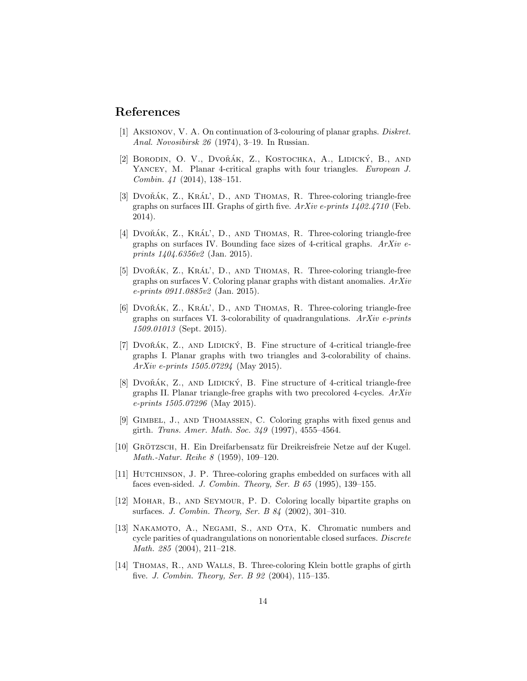#### References

- <span id="page-13-10"></span>[1] Aksionov, V. A. On continuation of 3-colouring of planar graphs. Diskret. Anal. Novosibirsk 26 (1974), 3–19. In Russian.
- <span id="page-13-9"></span>[2] BORODIN, O. V., DVOŘÁK, Z., KOSTOCHKA, A., LIDICKÝ, B., AND YANCEY, M. Planar 4-critical graphs with four triangles. European J. Combin. 41 (2014), 138–151.
- <span id="page-13-3"></span>[3] DVO $\tilde{R}$ AK, Z., KRÁL', D., AND THOMAS, R. Three-coloring triangle-free graphs on surfaces III. Graphs of girth five.  $ArXiv$  e-prints  $1402.4710$  (Feb. 2014).
- <span id="page-13-0"></span>[4] DVOŘÁK,  $Z_{\cdot}$ , KRÁL', D., AND THOMAS, R. Three-coloring triangle-free graphs on surfaces IV. Bounding face sizes of 4-critical graphs.  $ArXiv$  eprints 1404.6356v2 (Jan. 2015).
- <span id="page-13-12"></span>[5] DVOŘÁK, Z., KRÁL', D., AND THOMAS, R. Three-coloring triangle-free graphs on surfaces V. Coloring planar graphs with distant anomalies. ArXiv e-prints 0911.0885v2 (Jan. 2015).
- <span id="page-13-1"></span>[6] DVOŘÁK, Z., KRÁL', D., AND THOMAS, R. Three-coloring triangle-free graphs on surfaces VI. 3-colorability of quadrangulations.  $ArXiv$  e-prints 1509.01013 (Sept. 2015).
- <span id="page-13-11"></span>[7] DVOŘÁK, Z., AND LIDICKÝ, B. Fine structure of 4-critical triangle-free graphs I. Planar graphs with two triangles and 3-colorability of chains. ArXiv e-prints 1505.07294 (May 2015).
- <span id="page-13-13"></span>[8] DVOŘÁK, Z., AND LIDICKÝ, B. Fine structure of 4-critical triangle-free graphs II. Planar triangle-free graphs with two precolored 4-cycles. ArXiv  $e$ -prints 1505.07296 (May 2015).
- <span id="page-13-4"></span>[9] Gimbel, J., and Thomassen, C. Coloring graphs with fixed genus and girth. Trans. Amer. Math. Soc. 349 (1997), 4555–4564.
- <span id="page-13-2"></span>[10] GRÖTZSCH, H. Ein Dreifarbensatz für Dreikreisfreie Netze auf der Kugel. Math.-Natur. Reihe 8 (1959), 109–120.
- <span id="page-13-5"></span>[11] Hutchinson, J. P. Three-coloring graphs embedded on surfaces with all faces even-sided. J. Combin. Theory, Ser. B 65 (1995), 139–155.
- <span id="page-13-6"></span>[12] Mohar, B., and Seymour, P. D. Coloring locally bipartite graphs on surfaces. J. Combin. Theory, Ser. B 84 (2002), 301–310.
- <span id="page-13-7"></span>[13] Nakamoto, A., Negami, S., and Ota, K. Chromatic numbers and cycle parities of quadrangulations on nonorientable closed surfaces. Discrete Math. 285 (2004), 211–218.
- <span id="page-13-8"></span>[14] Thomas, R., and Walls, B. Three-coloring Klein bottle graphs of girth five. J. Combin. Theory, Ser. B 92 (2004), 115–135.